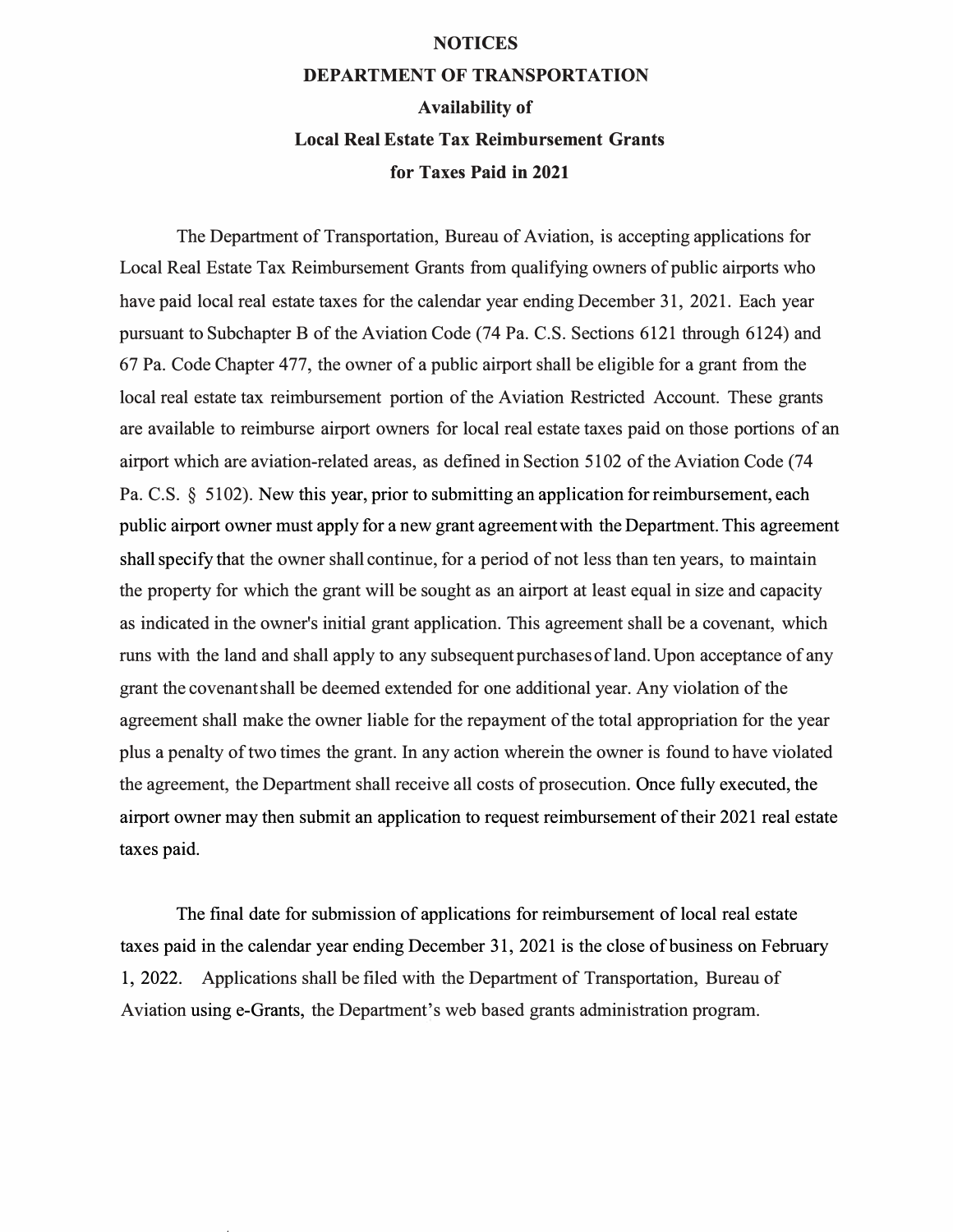## **NOTICES**

## **DEPARTMENT OF TRANSPORTATION Availability of Local Real Estate Tax Reimbursement Grants for Taxes Paid in 2021**

The Department of Transportation, Bureau of Aviation, is accepting applications for Local Real Estate Tax Reimbursement Grants from qualifying owners of public airports who have paid local real estate taxes for the calendar year ending December 31, 2021. Each year pursuant to Subchapter B of the Aviation Code (74 Pa. C.S. Sections 6121 through 6124) and 67 Pa. Code Chapter 477, the owner of a public airport shall be eligible for a grant from the local real estate tax reimbursement portion of the Aviation Restricted Account. These grants are available to reimburse airport owners for local real estate taxes paid on those portions of an airport which are aviation-related areas, as defined in Section 5102 of the Aviation Code (74 Pa. C.S. § 5102). New this year, prior to submitting an application for reimbursement, each public airport owner must apply for a new grant agreement with the Department. This agreement shallspecify that the owner shall continue, for a period of not less than ten years, to maintain the property for which the grant will be sought as an airport at least equal in size and capacity as indicated in the owner's initial grant application. This agreement shall be a covenant, which runs with the land and shall apply to any subsequent purchasesof land.Upon acceptance of any grant the covenantshall be deemed extended for one additional year. Any violation of the agreement shall make the owner liable for the repayment of the total appropriation for the year plus a penalty of two times the grant. In any action wherein the owner is found to have violated the agreement, the Department shall receive all costs of prosecution. Once fully executed, the airport owner may then submit an application to request reimbursement of their 2021 real estate taxes paid.

The final date for submission of applications for reimbursement of local real estate taxes paid in the calendar year ending December 31, 2021 is the close of business on February 1, 2022. Applications shall be filed with the Department of Transportation, Bureau of Aviation using e-Grants, the Department's web based grants administration program.

request and control of